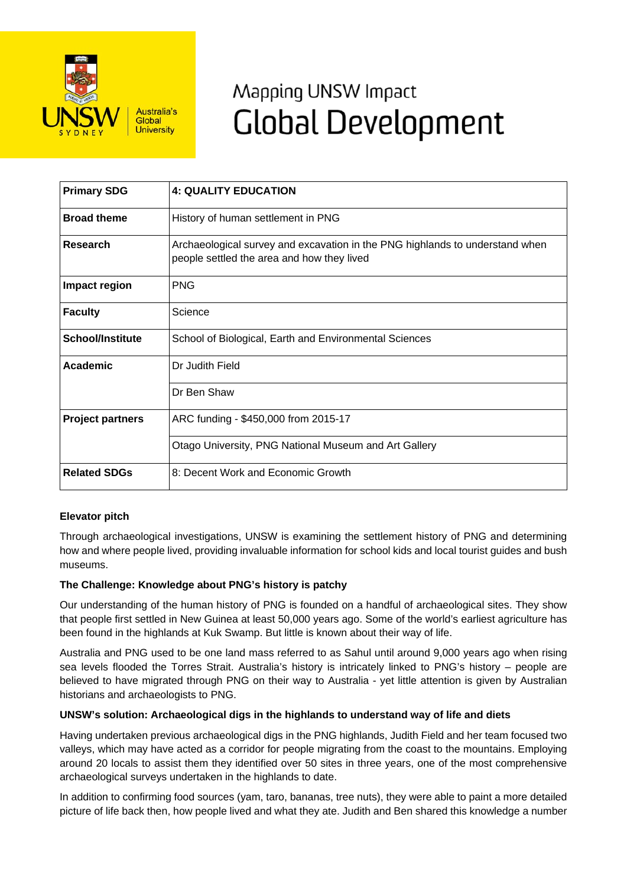

# Mapping UNSW Impact **Global Development**

| <b>Primary SDG</b>      | <b>4: QUALITY EDUCATION</b>                                                                                                |
|-------------------------|----------------------------------------------------------------------------------------------------------------------------|
| <b>Broad theme</b>      | History of human settlement in PNG                                                                                         |
| <b>Research</b>         | Archaeological survey and excavation in the PNG highlands to understand when<br>people settled the area and how they lived |
| Impact region           | <b>PNG</b>                                                                                                                 |
| <b>Faculty</b>          | Science                                                                                                                    |
| <b>School/Institute</b> | School of Biological, Earth and Environmental Sciences                                                                     |
| <b>Academic</b>         | Dr Judith Field                                                                                                            |
|                         | Dr Ben Shaw                                                                                                                |
| <b>Project partners</b> | ARC funding - \$450,000 from 2015-17                                                                                       |
|                         | Otago University, PNG National Museum and Art Gallery                                                                      |
| <b>Related SDGs</b>     | 8: Decent Work and Economic Growth                                                                                         |

## **Elevator pitch**

Through archaeological investigations, UNSW is examining the settlement history of PNG and determining how and where people lived, providing invaluable information for school kids and local tourist guides and bush museums.

#### **The Challenge: Knowledge about PNG's history is patchy**

Our understanding of the human history of PNG is founded on a handful of archaeological sites. They show that people first settled in New Guinea at least 50,000 years ago. Some of the world's earliest agriculture has been found in the highlands at Kuk Swamp. But little is known about their way of life.

Australia and PNG used to be one land mass referred to as Sahul until around 9,000 years ago when rising sea levels flooded the Torres Strait. Australia's history is intricately linked to PNG's history – people are believed to have migrated through PNG on their way to Australia - yet little attention is given by Australian historians and archaeologists to PNG.

#### **UNSW's solution: Archaeological digs in the highlands to understand way of life and diets**

Having undertaken previous archaeological digs in the PNG highlands, Judith Field and her team focused two valleys, which may have acted as a corridor for people migrating from the coast to the mountains. Employing around 20 locals to assist them they identified over 50 sites in three years, one of the most comprehensive archaeological surveys undertaken in the highlands to date.

In addition to confirming food sources (yam, taro, bananas, tree nuts), they were able to paint a more detailed picture of life back then, how people lived and what they ate. Judith and Ben shared this knowledge a number